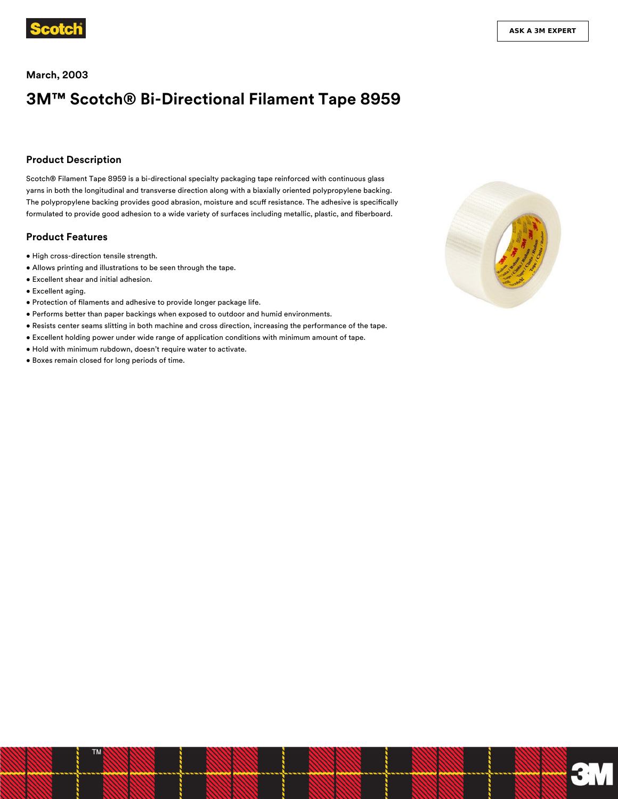

#### **March, 2003**

# **3M™ Scotch® Bi-Directional Filament Tape 8959**

#### **Product Description**

Scotch® Filament Tape 8959 is a bi-directional specialty packaging tape reinforced with continuous glass yarns in both the longitudinal and transverse direction along with a biaxially oriented polypropylene backing. The polypropylene backing provides good abrasion, moisture and scuff resistance. The adhesive is specifically formulated to provide good adhesion to a wide variety of surfaces including metallic, plastic, and fiberboard.

#### **Product Features**

- High cross-direction tensile strength.
- Allows printing and illustrations to be seen through the tape.
- Excellent shear and initial adhesion.
- Excellent aging.
- Protection of filaments and adhesive to provide longer package life.
- Performs better than paper backings when exposed to outdoor and humid environments.
- Resists center seams slitting in both machine and cross direction, increasing the performance of the tape.
- Excellent holding power under wide range of application conditions with minimum amount of tape.
- Hold with minimum rubdown, doesn't require water to activate.
- Boxes remain closed for long periods of time.

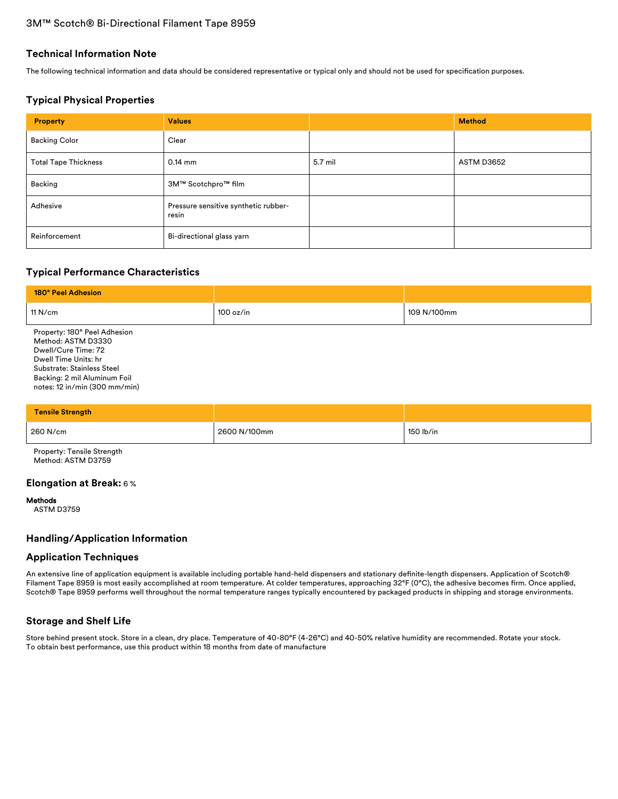#### **Technical Information Note**

The following technical information and data should be considered representative or typical only and should not be used for specification purposes.

## **Typical Physical Properties**

| <b>Property</b>             | <b>Values</b>                                 |         | <b>Method</b> |
|-----------------------------|-----------------------------------------------|---------|---------------|
| <b>Backing Color</b>        | Clear                                         |         |               |
| <b>Total Tape Thickness</b> | $0.14$ mm                                     | 5.7 mil | ASTM D3652    |
| Backing                     | 3M™ Scotchpro™ film                           |         |               |
| Adhesive                    | Pressure sensitive synthetic rubber-<br>resin |         |               |
| Reinforcement               | Bi-directional glass yarn                     |         |               |

# **Typical Performance Characteristics**

| 180° Peel Adhesion                                                                                                                                                                               |           |             |
|--------------------------------------------------------------------------------------------------------------------------------------------------------------------------------------------------|-----------|-------------|
| 11 $N/cm$                                                                                                                                                                                        | 100 oz/in | 109 N/100mm |
| Property: 180° Peel Adhesion<br>Method: ASTM D3330<br>Dwell/Cure Time: 72<br>Dwell Time Units: hr<br>Substrate: Stainless Steel<br>Backing: 2 mil Aluminum Foil<br>notes: 12 in/min (300 mm/min) |           |             |

| Tensile Strength |              |           |
|------------------|--------------|-----------|
| 260 N/cm         | 2600 N/100mm | 150 lb/in |

Property: Tensile Strength Method: ASTM D3759

### **Elongation at Break:** 6 %

#### Methods

ASTM D3759

## **Handling/Application Information**

#### **Application Techniques**

An extensive line of application equipment is available including portable hand-held dispensers and stationary definite-length dispensers. Application of Scotch® Filament Tape 8959 is most easily accomplished at room temperature. At colder temperatures, approaching 32°F (0°C), the adhesive becomes firm. Once applied, Scotch® Tape 8959 performs well throughout the normal temperature ranges typically encountered by packaged products in shipping and storage environments.

## **Storage and Shelf Life**

Store behind present stock. Store in a clean, dry place. Temperature of 40-80°F (4-26°C) and 40-50% relative humidity are recommended. Rotate your stock. To obtain best performance, use this product within 18 months from date of manufacture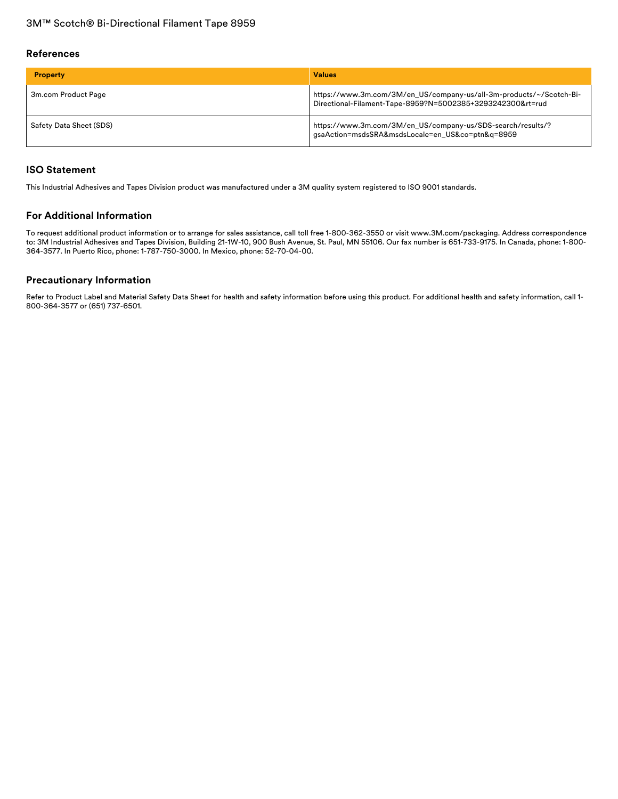#### **References**

| <b>Property</b>         | <b>Values</b>                                                                                                                     |
|-------------------------|-----------------------------------------------------------------------------------------------------------------------------------|
| 3m.com Product Page     | https://www.3m.com/3M/en_US/company-us/all-3m-products/~/Scotch-Bi-<br>Directional-Filament-Tape-8959?N=5002385+3293242300&rt=rud |
| Safety Data Sheet (SDS) | https://www.3m.com/3M/en_US/company-us/SDS-search/results/?<br>gsaAction=msdsSRA&msdsLocale=en_US&co=ptn&q=8959                   |

## **ISO Statement**

This Industrial Adhesives and Tapes Division product was manufactured under a 3M quality system registered to ISO 9001 standards.

## **For Additional Information**

To request additional product information or to arrange for sales assistance, call toll free 1-800-362-3550 or visit www.3M.com/packaging. Address correspondence to: 3M Industrial Adhesives and Tapes Division, Building 21-1W-10, 900 Bush Avenue, St. Paul, MN 55106. Our fax number is 651-733-9175. In Canada, phone: 1-800- 364-3577. In Puerto Rico, phone: 1-787-750-3000. In Mexico, phone: 52-70-04-00.

### **Precautionary Information**

Refer to Product Label and Material Safety Data Sheet for health and safety information before using this product. For additional health and safety information, call 1- 800-364-3577 or (651) 737-6501.